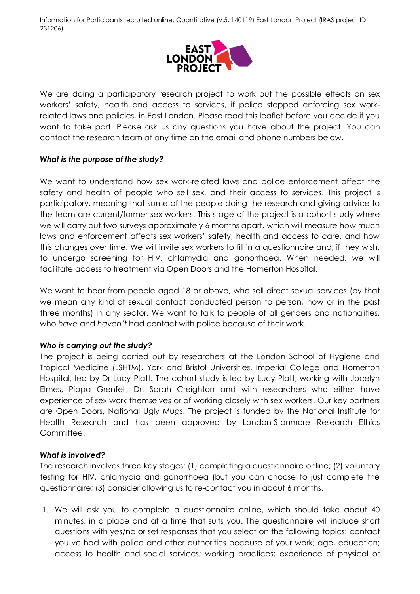

We are doing a participatory research project to work out the possible effects on sex workers' safety, health and access to services, if police stopped enforcing sex workrelated laws and policies, in East London. Please read this leaflet before you decide if you want to take part. Please ask us any questions you have about the project. You can contact the research team at any time on the email and phone numbers below.

## *What is the purpose of the study?*

We want to understand how sex work-related laws and police enforcement affect the safety and health of people who sell sex, and their access to services. This project is participatory, meaning that some of the people doing the research and giving advice to the team are current/former sex workers. This stage of the project is a cohort study where we will carry out two surveys approximately 6 months apart, which will measure how much laws and enforcement affects sex workers' safety, health and access to care, and how this changes over time. We will invite sex workers to fill in a questionnaire and, if they wish, to undergo screening for HIV, chlamydia and gonorrhoea. When needed, we will facilitate access to treatment via Open Doors and the Homerton Hospital.

We want to hear from people aged 18 or above, who sell direct sexual services (by that we mean any kind of sexual contact conducted person to person, now or in the past three months) in any sector. We want to talk to people of all genders and nationalities, who *have* and *haven't* had contact with police because of their work.

## *Who is carrying out the study?*

The project is being carried out by researchers at the London School of Hygiene and Tropical Medicine (LSHTM), York and Bristol Universities, Imperial College and Homerton Hospital, led by Dr Lucy Platt. The cohort study is led by Lucy Platt, working with Jocelyn Elmes, Pippa Grenfell, Dr. Sarah Creighton and with researchers who either have experience of sex work themselves or of working closely with sex workers. Our key partners are Open Doors, National Ugly Mugs. The project is funded by the National Institute for Health Research and has been approved by London-Stanmore Research Ethics Committee.

## *What is involved?*

The research involves three key stages: (1) completing a questionnaire online; (2) voluntary testing for HIV, chlamydia and gonorrhoea (but you can choose to just complete the questionnaire; (3) consider allowing us to re-contact you in about 6 months.

1. We will ask you to complete a questionnaire online, which should take about 40 minutes, in a place and at a time that suits you. The questionnaire will include short questions with yes/no or set responses that you select on the following topics: contact you've had with police and other authorities because of your work; age, education; access to health and social services; working practices; experience of physical or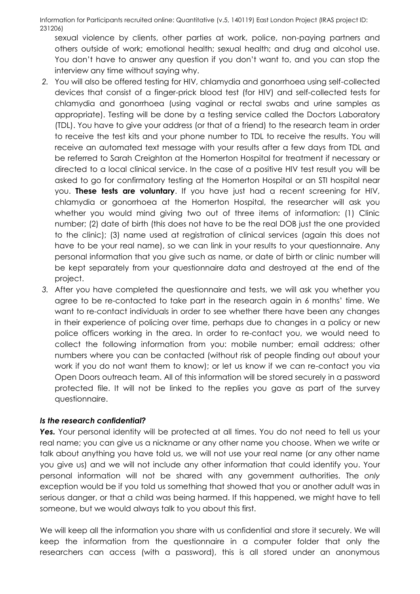sexual violence by clients, other parties at work, police, non-paying partners and others outside of work; emotional health; sexual health; and drug and alcohol use. You don't have to answer any question if you don't want to, and you can stop the interview any time without saying why.

- *2.* You will also be offered testing for HIV, chlamydia and gonorrhoea using self-collected devices that consist of a finger-prick blood test (for HIV) and self-collected tests for chlamydia and gonorrhoea (using vaginal or rectal swabs and urine samples as appropriate). Testing will be done by a testing service called the Doctors Laboratory (TDL). You have to give your address (or that of a friend) to the research team in order to receive the test kits and your phone number to TDL to receive the results. You will receive an automated text message with your results after a few days from TDL and be referred to Sarah Creighton at the Homerton Hospital for treatment if necessary or directed to a local clinical service. In the case of a positive HIV test result you will be asked to go for confirmatory testing at the Homerton Hospital or an STI hospital near you. **These tests are voluntary**. If you have just had a recent screening for HIV, chlamydia or gonorrhoea at the Homerton Hospital, the researcher will ask you whether you would mind giving two out of three items of information: (1) Clinic number; (2) date of birth (this does not have to be the real DOB just the one provided to the clinic); (3) name used at registration of clinical services (again this does not have to be your real name), so we can link in your results to your questionnaire. Any personal information that you give such as name, or date of birth or clinic number will be kept separately from your questionnaire data and destroyed at the end of the project.
- *3.* After you have completed the questionnaire and tests, we will ask you whether you agree to be re-contacted to take part in the research again in 6 months' time. We want to re-contact individuals in order to see whether there have been any changes in their experience of policing over time, perhaps due to changes in a policy or new police officers working in the area. In order to re-contact you, we would need to collect the following information from you: mobile number; email address; other numbers where you can be contacted (without risk of people finding out about your work if you do not want them to know); or let us know if we can re-contact you via Open Doors outreach team. All of this information will be stored securely in a password protected file. It will not be linked to the replies you gave as part of the survey questionnaire.

#### *Is the research confidential?*

Yes. Your personal identity will be protected at all times. You do not need to tell us your real name; you can give us a nickname or any other name you choose. When we write or talk about anything you have told us, we will not use your real name (or any other name you give us) and we will not include any other information that could identify you. Your personal information will not be shared with any government authorities. The *only*  exception would be if you told us something that showed that you or another adult was in serious danger, or that a child was being harmed. If this happened, we might have to tell someone, but we would always talk to you about this first.

We will keep all the information you share with us confidential and store it securely. We will keep the information from the questionnaire in a computer folder that only the researchers can access (with a password), this is all stored under an anonymous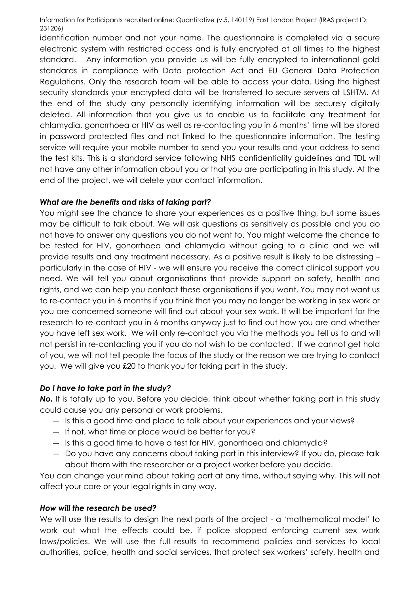identification number and not your name. The questionnaire is completed via a secure electronic system with restricted access and is fully encrypted at all times to the highest standard. Any information you provide us will be fully encrypted to international gold standards in compliance with Data protection Act and EU General Data Protection Regulations. Only the research team will be able to access your data. Using the highest security standards your encrypted data will be transferred to secure servers at LSHTM. At the end of the study any personally identifying information will be securely digitally deleted. All information that you give us to enable us to facilitate any treatment for chlamydia, gonorrhoea or HIV as well as re-contacting you in 6 months' time will be stored in password protected files and not linked to the questionnaire information. The testing service will require your mobile number to send you your results and your address to send the test kits. This is a standard service following NHS confidentiality guidelines and TDL will not have any other information about you or that you are participating in this study. At the end of the project, we will delete your contact information.

## *What are the benefits and risks of taking part?*

You might see the chance to share your experiences as a positive thing, but some issues may be difficult to talk about. We will ask questions as sensitively as possible and you do not have to answer any questions you do not want to. You might welcome the chance to be tested for HIV, gonorrhoea and chlamydia without going to a clinic and we will provide results and any treatment necessary. As a positive result is likely to be distressing – particularly in the case of HIV - we will ensure you receive the correct clinical support you need. We will tell you about organisations that provide support on safety, health and rights, and we can help you contact these organisations if you want. You may not want us to re-contact you in 6 months if you think that you may no longer be working in sex work or you are concerned someone will find out about your sex work. It will be important for the research to re-contact you in 6 months anyway just to find out how you are and whether you have left sex work. We will only re-contact you via the methods you tell us to and will not persist in re-contacting you if you do not wish to be contacted. If we cannot get hold of you, we will not tell people the focus of the study or the reason we are trying to contact you. We will give you £20 to thank you for taking part in the study.

## *Do I have to take part in the study?*

**No.** It is totally up to you. Before you decide, think about whether taking part in this study could cause you any personal or work problems.

- ― Is this a good time and place to talk about your experiences and your views?
- ― If not, what time or place would be better for you?
- ― Is this a good time to have a test for HIV, gonorrhoea and chlamydia?
- ― Do you have any concerns about taking part in this interview? If you do, please talk about them with the researcher or a project worker before you decide.

You can change your mind about taking part at any time, without saying why. This will not affect your care or your legal rights in any way.

## *How will the research be used?*

We will use the results to design the next parts of the project - a 'mathematical model' to work out what the effects could be, if police stopped enforcing current sex work laws/policies. We will use the full results to recommend policies and services to local authorities, police, health and social services, that protect sex workers' safety, health and